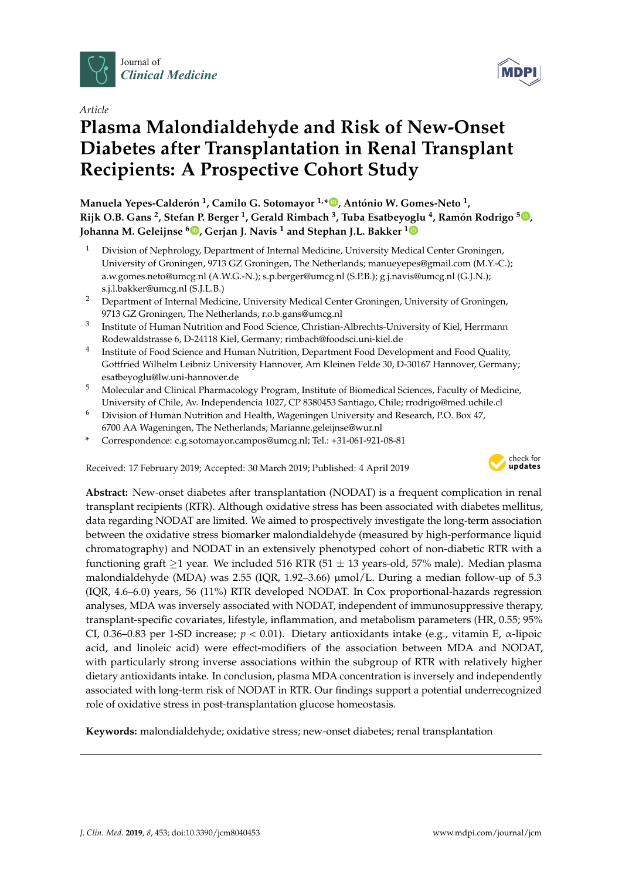

*Article*

# **Plasma Malondialdehyde and Risk of New-Onset Diabetes after Transplantation in Renal Transplant Recipients: A Prospective Cohort Study**

**Manuela Yepes-Calderón 1 , Camilo G. Sotomayor 1,\* [,](https://orcid.org/0000-0001-6835-6386) António W. Gomes-Neto <sup>1</sup> , Rijk O.B. Gans <sup>2</sup> , Stefan P. Berger <sup>1</sup> , Gerald Rimbach <sup>3</sup> , Tuba Esatbeyoglu <sup>4</sup> , Ramón Rodrigo <sup>5</sup> [,](https://orcid.org/0000-0003-1724-571X) Johanna M. Geleijnse <sup>6</sup> [,](https://orcid.org/0000-0001-7638-0589) Gerjan J. Navis <sup>1</sup> and Stephan J.L. Bakker [1](https://orcid.org/0000-0003-3356-6791)**

- <sup>1</sup> Division of Nephrology, Department of Internal Medicine, University Medical Center Groningen, University of Groningen, 9713 GZ Groningen, The Netherlands; manueyepes@gmail.com (M.Y.-C.); a.w.gomes.neto@umcg.nl (A.W.G.-N.); s.p.berger@umcg.nl (S.P.B.); g.j.navis@umcg.nl (G.J.N.); s.j.l.bakker@umcg.nl (S.J.L.B.)
- <sup>2</sup> Department of Internal Medicine, University Medical Center Groningen, University of Groningen, 9713 GZ Groningen, The Netherlands; r.o.b.gans@umcg.nl
- 3 Institute of Human Nutrition and Food Science, Christian-Albrechts-University of Kiel, Herrmann Rodewaldstrasse 6, D-24118 Kiel, Germany; rimbach@foodsci.uni-kiel.de
- 4 Institute of Food Science and Human Nutrition, Department Food Development and Food Quality, Gottfried Wilhelm Leibniz University Hannover, Am Kleinen Felde 30, D-30167 Hannover, Germany; esatbeyoglu@lw.uni-hannover.de
- <sup>5</sup> Molecular and Clinical Pharmacology Program, Institute of Biomedical Sciences, Faculty of Medicine, University of Chile, Av. Independencia 1027, CP 8380453 Santiago, Chile; rrodrigo@med.uchile.cl
- <sup>6</sup> Division of Human Nutrition and Health, Wageningen University and Research, P.O. Box 47, 6700 AA Wageningen, The Netherlands; Marianne.geleijnse@wur.nl
- **\*** Correspondence: c.g.sotomayor.campos@umcg.nl; Tel.: +31-061-921-08-81

Received: 17 February 2019; Accepted: 30 March 2019; Published: 4 April 2019



**Abstract:** New-onset diabetes after transplantation (NODAT) is a frequent complication in renal transplant recipients (RTR). Although oxidative stress has been associated with diabetes mellitus, data regarding NODAT are limited. We aimed to prospectively investigate the long-term association between the oxidative stress biomarker malondialdehyde (measured by high-performance liquid chromatography) and NODAT in an extensively phenotyped cohort of non-diabetic RTR with a functioning graft  $\geq$ 1 year. We included 516 RTR (51  $\pm$  13 years-old, 57% male). Median plasma malondialdehyde (MDA) was 2.55 (IQR, 1.92–3.66)  $\mu$ mol/L. During a median follow-up of 5.3 (IQR, 4.6–6.0) years, 56 (11%) RTR developed NODAT. In Cox proportional-hazards regression analyses, MDA was inversely associated with NODAT, independent of immunosuppressive therapy, transplant-specific covariates, lifestyle, inflammation, and metabolism parameters (HR, 0.55; 95% CI, 0.36–0.83 per 1-SD increase; *p* < 0.01). Dietary antioxidants intake (e.g., vitamin E, α-lipoic acid, and linoleic acid) were effect-modifiers of the association between MDA and NODAT, with particularly strong inverse associations within the subgroup of RTR with relatively higher dietary antioxidants intake. In conclusion, plasma MDA concentration is inversely and independently associated with long-term risk of NODAT in RTR. Our findings support a potential underrecognized role of oxidative stress in post-transplantation glucose homeostasis.

**Keywords:** malondialdehyde; oxidative stress; new-onset diabetes; renal transplantation

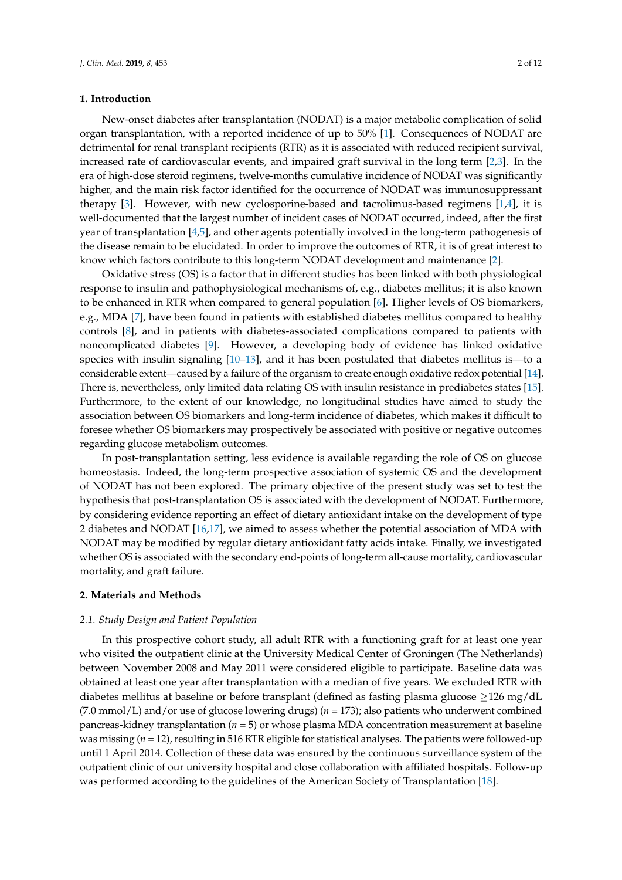#### **1. Introduction**

New-onset diabetes after transplantation (NODAT) is a major metabolic complication of solid organ transplantation, with a reported incidence of up to 50% [\[1\]](#page-9-0). Consequences of NODAT are detrimental for renal transplant recipients (RTR) as it is associated with reduced recipient survival, increased rate of cardiovascular events, and impaired graft survival in the long term [\[2,](#page-9-1)[3\]](#page-9-2). In the era of high-dose steroid regimens, twelve-months cumulative incidence of NODAT was significantly higher, and the main risk factor identified for the occurrence of NODAT was immunosuppressant therapy  $[3]$ . However, with new cyclosporine-based and tacrolimus-based regimens  $[1,4]$  $[1,4]$ , it is well-documented that the largest number of incident cases of NODAT occurred, indeed, after the first year of transplantation [\[4,](#page-9-3)[5\]](#page-9-4), and other agents potentially involved in the long-term pathogenesis of the disease remain to be elucidated. In order to improve the outcomes of RTR, it is of great interest to know which factors contribute to this long-term NODAT development and maintenance [\[2\]](#page-9-1).

Oxidative stress (OS) is a factor that in different studies has been linked with both physiological response to insulin and pathophysiological mechanisms of, e.g., diabetes mellitus; it is also known to be enhanced in RTR when compared to general population [\[6\]](#page-9-5). Higher levels of OS biomarkers, e.g., MDA [\[7\]](#page-9-6), have been found in patients with established diabetes mellitus compared to healthy controls [\[8\]](#page-9-7), and in patients with diabetes-associated complications compared to patients with noncomplicated diabetes [\[9\]](#page-9-8). However, a developing body of evidence has linked oxidative species with insulin signaling  $[10-13]$  $[10-13]$ , and it has been postulated that diabetes mellitus is—to a considerable extent—caused by a failure of the organism to create enough oxidative redox potential [\[14\]](#page-9-11). There is, nevertheless, only limited data relating OS with insulin resistance in prediabetes states [\[15\]](#page-9-12). Furthermore, to the extent of our knowledge, no longitudinal studies have aimed to study the association between OS biomarkers and long-term incidence of diabetes, which makes it difficult to foresee whether OS biomarkers may prospectively be associated with positive or negative outcomes regarding glucose metabolism outcomes.

In post-transplantation setting, less evidence is available regarding the role of OS on glucose homeostasis. Indeed, the long-term prospective association of systemic OS and the development of NODAT has not been explored. The primary objective of the present study was set to test the hypothesis that post-transplantation OS is associated with the development of NODAT. Furthermore, by considering evidence reporting an effect of dietary antioxidant intake on the development of type 2 diabetes and NODAT [\[16,](#page-9-13)[17\]](#page-9-14), we aimed to assess whether the potential association of MDA with NODAT may be modified by regular dietary antioxidant fatty acids intake. Finally, we investigated whether OS is associated with the secondary end-points of long-term all-cause mortality, cardiovascular mortality, and graft failure.

### **2. Materials and Methods**

#### *2.1. Study Design and Patient Population*

In this prospective cohort study, all adult RTR with a functioning graft for at least one year who visited the outpatient clinic at the University Medical Center of Groningen (The Netherlands) between November 2008 and May 2011 were considered eligible to participate. Baseline data was obtained at least one year after transplantation with a median of five years. We excluded RTR with diabetes mellitus at baseline or before transplant (defined as fasting plasma glucose ≥126 mg/dL (7.0 mmol/L) and/or use of glucose lowering drugs) (*n* = 173); also patients who underwent combined pancreas-kidney transplantation (*n* = 5) or whose plasma MDA concentration measurement at baseline was missing (*n* = 12), resulting in 516 RTR eligible for statistical analyses. The patients were followed-up until 1 April 2014. Collection of these data was ensured by the continuous surveillance system of the outpatient clinic of our university hospital and close collaboration with affiliated hospitals. Follow-up was performed according to the guidelines of the American Society of Transplantation [\[18\]](#page-9-15).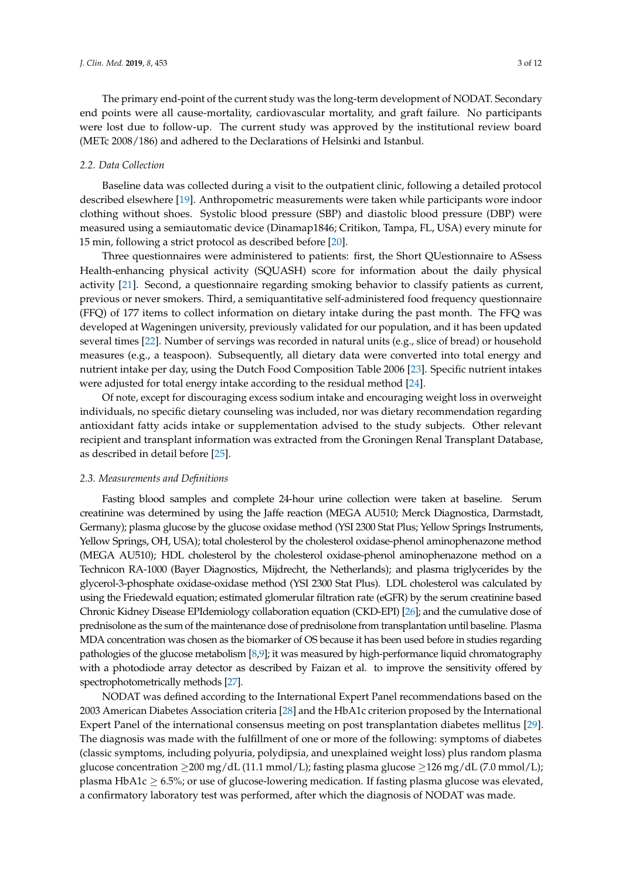The primary end-point of the current study was the long-term development of NODAT. Secondary end points were all cause-mortality, cardiovascular mortality, and graft failure. No participants were lost due to follow-up. The current study was approved by the institutional review board (METc 2008/186) and adhered to the Declarations of Helsinki and Istanbul.

#### *2.2. Data Collection*

Baseline data was collected during a visit to the outpatient clinic, following a detailed protocol described elsewhere [\[19\]](#page-9-16). Anthropometric measurements were taken while participants wore indoor clothing without shoes. Systolic blood pressure (SBP) and diastolic blood pressure (DBP) were measured using a semiautomatic device (Dinamap1846; Critikon, Tampa, FL, USA) every minute for 15 min, following a strict protocol as described before [\[20\]](#page-10-0).

Three questionnaires were administered to patients: first, the Short QUestionnaire to ASsess Health-enhancing physical activity (SQUASH) score for information about the daily physical activity [\[21\]](#page-10-1). Second, a questionnaire regarding smoking behavior to classify patients as current, previous or never smokers. Third, a semiquantitative self-administered food frequency questionnaire (FFQ) of 177 items to collect information on dietary intake during the past month. The FFQ was developed at Wageningen university, previously validated for our population, and it has been updated several times [\[22\]](#page-10-2). Number of servings was recorded in natural units (e.g., slice of bread) or household measures (e.g., a teaspoon). Subsequently, all dietary data were converted into total energy and nutrient intake per day, using the Dutch Food Composition Table 2006 [\[23\]](#page-10-3). Specific nutrient intakes were adjusted for total energy intake according to the residual method [\[24\]](#page-10-4).

Of note, except for discouraging excess sodium intake and encouraging weight loss in overweight individuals, no specific dietary counseling was included, nor was dietary recommendation regarding antioxidant fatty acids intake or supplementation advised to the study subjects. Other relevant recipient and transplant information was extracted from the Groningen Renal Transplant Database, as described in detail before [\[25\]](#page-10-5).

#### *2.3. Measurements and Definitions*

Fasting blood samples and complete 24-hour urine collection were taken at baseline. Serum creatinine was determined by using the Jaffe reaction (MEGA AU510; Merck Diagnostica, Darmstadt, Germany); plasma glucose by the glucose oxidase method (YSI 2300 Stat Plus; Yellow Springs Instruments, Yellow Springs, OH, USA); total cholesterol by the cholesterol oxidase-phenol aminophenazone method (MEGA AU510); HDL cholesterol by the cholesterol oxidase-phenol aminophenazone method on a Technicon RA-1000 (Bayer Diagnostics, Mijdrecht, the Netherlands); and plasma triglycerides by the glycerol-3-phosphate oxidase-oxidase method (YSI 2300 Stat Plus). LDL cholesterol was calculated by using the Friedewald equation; estimated glomerular filtration rate (eGFR) by the serum creatinine based Chronic Kidney Disease EPIdemiology collaboration equation (CKD-EPI) [\[26\]](#page-10-6); and the cumulative dose of prednisolone as the sum of the maintenance dose of prednisolone from transplantation until baseline. Plasma MDA concentration was chosen as the biomarker of OS because it has been used before in studies regarding pathologies of the glucose metabolism [\[8](#page-9-7)[,9\]](#page-9-8); it was measured by high-performance liquid chromatography with a photodiode array detector as described by Faizan et al. to improve the sensitivity offered by spectrophotometrically methods [\[27\]](#page-10-7).

NODAT was defined according to the International Expert Panel recommendations based on the 2003 American Diabetes Association criteria [\[28\]](#page-10-8) and the HbA1c criterion proposed by the International Expert Panel of the international consensus meeting on post transplantation diabetes mellitus [\[29\]](#page-10-9). The diagnosis was made with the fulfillment of one or more of the following: symptoms of diabetes (classic symptoms, including polyuria, polydipsia, and unexplained weight loss) plus random plasma glucose concentration  $\geq$ 200 mg/dL (11.1 mmol/L); fasting plasma glucose  $\geq$ 126 mg/dL (7.0 mmol/L); plasma HbA1c  $\geq$  6.5%; or use of glucose-lowering medication. If fasting plasma glucose was elevated, a confirmatory laboratory test was performed, after which the diagnosis of NODAT was made.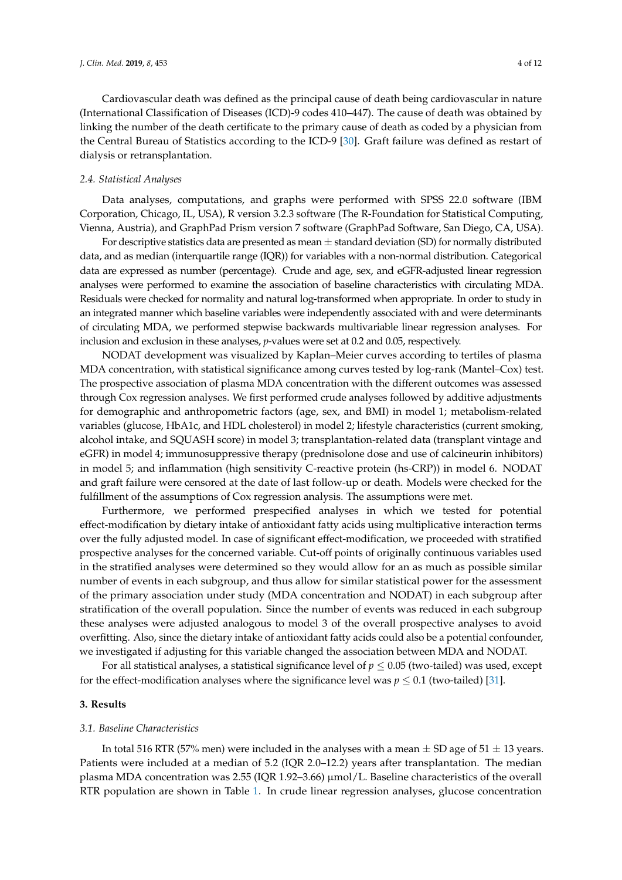Cardiovascular death was defined as the principal cause of death being cardiovascular in nature (International Classification of Diseases (ICD)-9 codes 410–447). The cause of death was obtained by linking the number of the death certificate to the primary cause of death as coded by a physician from the Central Bureau of Statistics according to the ICD-9 [\[30\]](#page-10-10). Graft failure was defined as restart of dialysis or retransplantation.

#### *2.4. Statistical Analyses*

Data analyses, computations, and graphs were performed with SPSS 22.0 software (IBM Corporation, Chicago, IL, USA), R version 3.2.3 software (The R-Foundation for Statistical Computing, Vienna, Austria), and GraphPad Prism version 7 software (GraphPad Software, San Diego, CA, USA).

For descriptive statistics data are presented as mean  $\pm$  standard deviation (SD) for normally distributed data, and as median (interquartile range (IQR)) for variables with a non-normal distribution. Categorical data are expressed as number (percentage). Crude and age, sex, and eGFR-adjusted linear regression analyses were performed to examine the association of baseline characteristics with circulating MDA. Residuals were checked for normality and natural log-transformed when appropriate. In order to study in an integrated manner which baseline variables were independently associated with and were determinants of circulating MDA, we performed stepwise backwards multivariable linear regression analyses. For inclusion and exclusion in these analyses, *p*-values were set at 0.2 and 0.05, respectively.

NODAT development was visualized by Kaplan–Meier curves according to tertiles of plasma MDA concentration, with statistical significance among curves tested by log-rank (Mantel–Cox) test. The prospective association of plasma MDA concentration with the different outcomes was assessed through Cox regression analyses. We first performed crude analyses followed by additive adjustments for demographic and anthropometric factors (age, sex, and BMI) in model 1; metabolism-related variables (glucose, HbA1c, and HDL cholesterol) in model 2; lifestyle characteristics (current smoking, alcohol intake, and SQUASH score) in model 3; transplantation-related data (transplant vintage and eGFR) in model 4; immunosuppressive therapy (prednisolone dose and use of calcineurin inhibitors) in model 5; and inflammation (high sensitivity C-reactive protein (hs-CRP)) in model 6. NODAT and graft failure were censored at the date of last follow-up or death. Models were checked for the fulfillment of the assumptions of Cox regression analysis. The assumptions were met.

Furthermore, we performed prespecified analyses in which we tested for potential effect-modification by dietary intake of antioxidant fatty acids using multiplicative interaction terms over the fully adjusted model. In case of significant effect-modification, we proceeded with stratified prospective analyses for the concerned variable. Cut-off points of originally continuous variables used in the stratified analyses were determined so they would allow for an as much as possible similar number of events in each subgroup, and thus allow for similar statistical power for the assessment of the primary association under study (MDA concentration and NODAT) in each subgroup after stratification of the overall population. Since the number of events was reduced in each subgroup these analyses were adjusted analogous to model 3 of the overall prospective analyses to avoid overfitting. Also, since the dietary intake of antioxidant fatty acids could also be a potential confounder, we investigated if adjusting for this variable changed the association between MDA and NODAT.

For all statistical analyses, a statistical significance level of  $p \leq 0.05$  (two-tailed) was used, except for the effect-modification analyses where the significance level was  $p \le 0.1$  (two-tailed) [\[31\]](#page-10-11).

#### **3. Results**

#### *3.1. Baseline Characteristics*

In total 516 RTR (57% men) were included in the analyses with a mean  $\pm$  SD age of 51  $\pm$  13 years. Patients were included at a median of 5.2 (IQR 2.0–12.2) years after transplantation. The median plasma MDA concentration was 2.55 (IQR 1.92–3.66) µmol/L. Baseline characteristics of the overall RTR population are shown in Table [1.](#page-4-0) In crude linear regression analyses, glucose concentration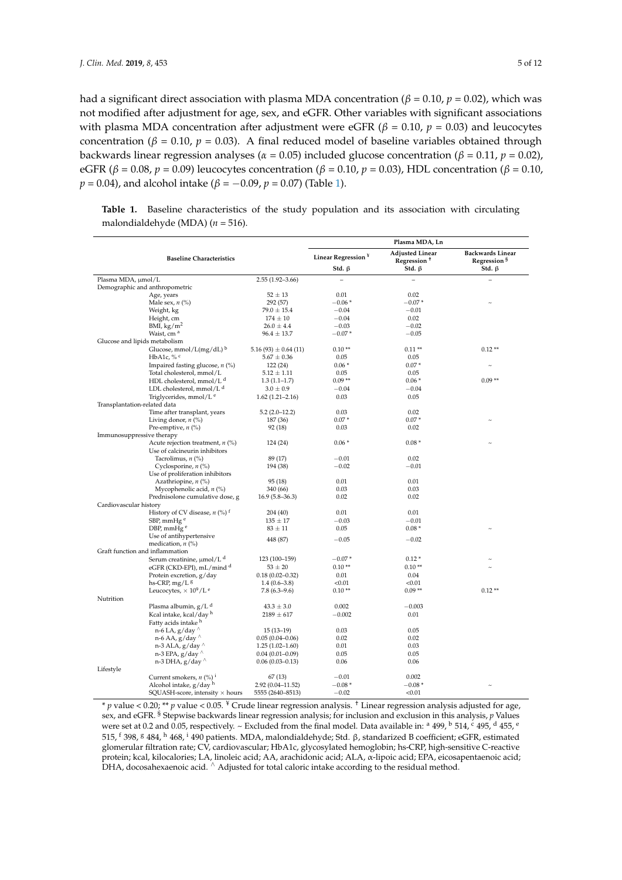had a significant direct association with plasma MDA concentration ( $\beta$  = 0.10,  $p$  = 0.02), which was not modified after adjustment for age, sex, and eGFR. Other variables with significant associations with plasma MDA concentration after adjustment were eGFR ( $β = 0.10$ ,  $p = 0.03$ ) and leucocytes concentration ( $β = 0.10$ ,  $p = 0.03$ ). A final reduced model of baseline variables obtained through backwards linear regression analyses ( $\alpha$  = 0.05) included glucose concentration ( $\beta$  = 0.11,  $p$  = 0.02), eGFR (*β* = 0.08, *p* = 0.09) leucocytes concentration (*β* = 0.10, *p* = 0.03), HDL concentration (*β* = 0.10, *p* = 0.04), and alcohol intake ( $\beta$  = −0.09, *p* = 0.07) (Table [1\)](#page-4-0).

<span id="page-4-0"></span>**Table 1.** Baseline characteristics of the study population and its association with circulating malondialdehyde (MDA) (*n* = 516).

|                                                                     |                         | Plasma MDA, Ln                                 |                                                                   |                                                                    |
|---------------------------------------------------------------------|-------------------------|------------------------------------------------|-------------------------------------------------------------------|--------------------------------------------------------------------|
| <b>Baseline Characteristics</b>                                     |                         | Linear Regression <sup>¥</sup><br>Std. $\beta$ | <b>Adjusted Linear</b><br>Regression <sup>+</sup><br>Std. $\beta$ | <b>Backwards Linear</b><br>Regression <sup>§</sup><br>Std. $\beta$ |
| Plasma MDA, µmol/L                                                  | $2.55(1.92 - 3.66)$     | $\hspace{1.0cm} - \hspace{1.0cm}$              | $\overline{\phantom{0}}$                                          |                                                                    |
| Demographic and anthropometric                                      |                         |                                                |                                                                   |                                                                    |
| Age, years                                                          | $52 \pm 13$             | 0.01                                           | 0.02                                                              |                                                                    |
| Male sex, $n$ (%)                                                   | 292 (57)                | $-0.06*$                                       | $-0.07*$                                                          |                                                                    |
| Weight, kg                                                          | $79.0 \pm 15.4$         | $-0.04$                                        | $-0.01$                                                           |                                                                    |
| Height, cm                                                          | $174 \pm 10$            | $-0.04$                                        | 0.02                                                              |                                                                    |
| BMI, kg/m <sup>2</sup>                                              | $26.0 \pm 4.4$          | $-0.03$                                        | $-0.02$                                                           |                                                                    |
| Waist, cm <sup>a</sup>                                              | $96.4 \pm 13.7$         | $-0.07*$                                       | $-0.05$                                                           |                                                                    |
| Glucose and lipids metabolism                                       |                         |                                                |                                                                   |                                                                    |
| Glucose, mmol/ $L(mg/dL)^b$                                         | $5.16(93) \pm 0.64(11)$ | $0.10**$                                       | $0.11**$                                                          | $0.12**$                                                           |
| HbA1c, $%$ <sup>c</sup>                                             | $5.67 \pm 0.36$         | 0.05                                           | 0.05                                                              |                                                                    |
| Impaired fasting glucose, $n$ (%)                                   | 122 (24)                | $0.06*$                                        | $0.07*$                                                           |                                                                    |
| Total cholesterol, mmol/L                                           | $5.12 \pm 1.11$         | 0.05                                           | 0.05                                                              |                                                                    |
| HDL cholesterol, mmol/L <sup>d</sup>                                | $1.3(1.1-1.7)$          | $0.09**$                                       | $0.06*$                                                           | $0.09**$                                                           |
| LDL cholesterol, mmol/L <sup>d</sup>                                | $3.0 \pm 0.9$           | $-0.04$                                        | $-0.04$                                                           |                                                                    |
| Triglycerides, mmol/L <sup>e</sup>                                  | $1.62(1.21 - 2.16)$     | 0.03                                           | 0.05                                                              |                                                                    |
| Transplantation-related data                                        |                         |                                                |                                                                   |                                                                    |
| Time after transplant, years                                        | $5.2(2.0-12.2)$         | 0.03                                           | 0.02                                                              |                                                                    |
| Living donor, $n$ (%)                                               | 187 (36)                | $0.07*$                                        | $0.07*$                                                           |                                                                    |
| Pre-emptive, $n$ (%)                                                | 92 (18)                 | 0.03                                           | 0.02                                                              |                                                                    |
| Immunosuppressive therapy                                           |                         | $0.06*$                                        | $0.08*$                                                           |                                                                    |
| Acute rejection treatment, $n$ (%)<br>Use of calcineurin inhibitors | 124 (24)                |                                                |                                                                   |                                                                    |
| Tacrolimus, $n$ (%)                                                 | 89 (17)                 | $-0.01$                                        | 0.02                                                              |                                                                    |
| Cyclosporine, $n$ (%)                                               | 194 (38)                | $-0.02$                                        | $-0.01$                                                           |                                                                    |
| Use of proliferation inhibitors                                     |                         |                                                |                                                                   |                                                                    |
| Azathriopine, $n$ (%)                                               | 95(18)                  | 0.01                                           | 0.01                                                              |                                                                    |
| Mycophenolic acid, $n$ (%)                                          | 340 (66)                | 0.03                                           | 0.03                                                              |                                                                    |
| Prednisolone cumulative dose, g                                     | $16.9(5.8-36.3)$        | 0.02                                           | 0.02                                                              |                                                                    |
| Cardiovascular history                                              |                         |                                                |                                                                   |                                                                    |
| History of CV disease, $n$ (%) <sup>t</sup>                         | 204 (40)                | 0.01                                           | 0.01                                                              |                                                                    |
| SBP, mmHg <sup>e</sup>                                              | $135 \pm 17$            | $-0.03$                                        | $-0.01$                                                           |                                                                    |
| DBP, mmHg <sup>e</sup>                                              | $83 \pm 11$             | 0.05                                           | $0.08*$                                                           |                                                                    |
| Use of antihypertensive                                             |                         |                                                |                                                                   |                                                                    |
| medication, $n$ (%)                                                 | 448 (87)                | $-0.05$                                        | $-0.02$                                                           |                                                                    |
| Graft function and inflammation                                     |                         |                                                |                                                                   |                                                                    |
| Serum creatinine, µmol/L <sup>d</sup>                               | 123 (100-159)           | $-0.07*$                                       | $0.12*$                                                           |                                                                    |
| eGFR (CKD-EPI), mL/mind <sup>d</sup>                                | $53 \pm 20$             | $0.10**$                                       | $0.10**$                                                          |                                                                    |
| Protein excretion, g/day                                            | $0.18(0.02 - 0.32)$     | 0.01                                           | 0.04                                                              |                                                                    |
| hs-CRP, mg/L 8                                                      | $1.4(0.6-3.8)$          | < 0.01                                         | < 0.01                                                            |                                                                    |
| Leucocytes, $\times 10^9/L$ <sup>e</sup>                            | $7.8(6.3-9.6)$          | $0.10**$                                       | $0.09**$                                                          | $0.12**$                                                           |
| Nutrition                                                           |                         |                                                |                                                                   |                                                                    |
| Plasma albumin, g/L <sup>d</sup>                                    | $43.3 \pm 3.0$          | 0.002                                          | $-0.003$                                                          |                                                                    |
| Kcal intake, kcal/day h                                             | $2189 \pm 617$          | $-0.002$                                       | 0.01                                                              |                                                                    |
| Fatty acids intake h                                                |                         |                                                |                                                                   |                                                                    |
| n-6 LA, $g$ /day $\wedge$                                           | $15(13-19)$             | 0.03                                           | 0.05                                                              |                                                                    |
| n-6 AA, $g$ /day $\land$                                            | $0.05(0.04 - 0.06)$     | 0.02                                           | 0.02                                                              |                                                                    |
| n-3 ALA, $g$ /day $\land$                                           | $1.25(1.02 - 1.60)$     | 0.01                                           | 0.03                                                              |                                                                    |
| n-3 EPA, $g$ /day $\land$                                           | $0.04(0.01-0.09)$       | 0.05                                           | 0.05                                                              |                                                                    |
| n-3 DHA, $g$ /day $\land$                                           | $0.06(0.03 - 0.13)$     | 0.06                                           | 0.06                                                              |                                                                    |
| Lifestyle                                                           |                         |                                                |                                                                   |                                                                    |
| Current smokers, $n$ (%) <sup>i</sup>                               | 67(13)                  | $-0.01$                                        | 0.002                                                             |                                                                    |
| Alcohol intake, g/day h                                             | 2.92 (0.04-11.52)       | $-0.08*$                                       | $-0.08*$                                                          |                                                                    |
| $SQUASH-score$ , intensity $\times$ hours                           | 5555 (2640-8513)        | $-0.02$                                        | < 0.01                                                            |                                                                    |

\* *p* value < 0.20; \*\* *p* value < 0.05. ¥ Crude linear regression analysis. † Linear regression analysis adjusted for age, sex, and eGFR. § Stepwise backwards linear regression analysis; for inclusion and exclusion in this analysis, *p* Values were set at 0.2 and 0.05, respectively. ~ Excluded from the final model. Data available in:  $a$  499,  $b$  514,  $c$  495,  $d$  455,  $e$ 515, <sup>f</sup> 398, <sup>g</sup> 484, <sup>h</sup> 468, <sup>i</sup> 490 patients. MDA, malondialdehyde; Std. β, standarized B coefficient; eGFR, estimated glomerular filtration rate; CV, cardiovascular; HbA1c, glycosylated hemoglobin; hs-CRP, high-sensitive C-reactive protein; kcal, kilocalories; LA, linoleic acid; AA, arachidonic acid; ALA, α-lipoic acid; EPA, eicosapentaenoic acid;<br>DHA, docosahexaenoic acid. ^ Adjusted for total caloric intake according to the residual method.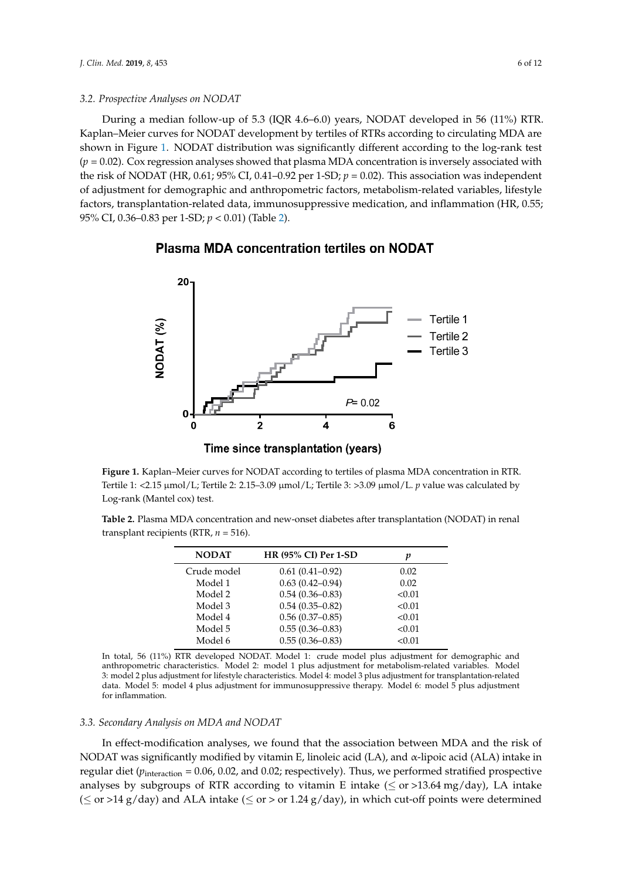### *3.2. Prospective Analyses on NODAT 3.2. Prospective Analyses on NODAT*

During a median follow-up of 5.3 (IQR 4.6–6.0) years, NODAT developed in 56 (11%) RTR. During a median follow-up of 5.3 (IQR 4.6–6.0) years, NODAT developed in 56 (11%) RTR. Kaplan–Meier curves for NODAT development by tertiles of RTRs according to circulating MDA are Kaplan–Meier curves for NODAT development by tertiles of RTRs according to circulating MDA are shown in Figure [1.](#page-5-0) NODAT distribution was significantly different according to the log-rank test  $(p = 0.02)$ . Cox regression analyses showed that plasma MDA concentration is inversely associated with the risk of NODAT (HR, 0.61; 95% CI, 0.41–0.92 per 1-SD;  $p = 0.02$ ). This association was independent of adjustment for demographic and anthropometric factors, metabolism-related variables, lifestyle of adjustment for demographic and anthropometric factors, metabolism-related variables, lifestyle factors, transplantation-related data, immunosuppressive medication, and inflammation (HR, 0.55; factors, transplantation-related data, immunosuppressive medication, and inflammation (HR, 0.55; 95% CI, 0.36–0.83 per 1-SD; *p* < 0.01) (Table [2\)](#page-5-1). 95% CI, 0.36–0.83 per 1-SD; *p* < 0.01) (Table 2).

## 20 Tertile 1 JODAT<sub>(%)</sub> Tertile 2 Tertile 3  $P = 0.02$  $\overline{2}$  $\overline{\mathbf{4}}$  $6\phantom{1}6$  $\Omega$ Time since transplantation (years)

#### <span id="page-5-0"></span>**Plasma MDA concentration tertiles on NODAT**

Tertile 1: <2.15 µmol/L; Tertile 2: 2.15–3.09 µmol/L; Tertile 3: >3.09 µmol/L. *p* value was calculated by Log-rank (Mantel cox) test. **Figure 1.** Kaplan–Meier curves for NODAT according to tertiles of plasma MDA concentration in RTR.

<span id="page-5-1"></span>Table 2. Plasma MDA concentration and new-onset diabetes after transplantation (NODAT) in renal transplant recipients (RTR, *n* = 516).

| <b>NODAT</b> | <b>HR (95% CI) Per 1-SD</b> | p      |
|--------------|-----------------------------|--------|
| Crude model  | $0.61(0.41-0.92)$           | 0.02   |
| Model 1      | $0.63(0.42 - 0.94)$         | 0.02   |
| Model 2      | $0.54(0.36 - 0.83)$         | < 0.01 |
| Model 3      | $0.54(0.35-0.82)$           | < 0.01 |
| Model 4      | $0.56(0.37-0.85)$           | < 0.01 |
| Model 5      | $0.55(0.36 - 0.83)$         | < 0.01 |
| Model 6      | $0.55(0.36 - 0.83)$         | < 0.01 |

In total, 56 (11%) RTR developed NODAT. Model 1: crude model plus adjustment for demographic and anthropometric characteristics. Model 2: model 1 plus adjustment for metabolism-related variables. Model In total, 56 (11%) RTR developed NODAT. Model 1: crude model plus adjustment for demographic data. Model 5: model 4 plus adjustment for immunosuppressive therapy. Model 6: model 5 plus adjustment for inflammation. Model 2: model 2: model 2: model 1 plus adjustment for metabolism-related to the metabolism-related by a strategies of metabolism-related to the metabolism-related by a strategies of metabolism-related by 3: model 2 plus adjustment for lifestyle characteristics. Model 4: model 3 plus adjustment for transplantation-related

#### 3.3. Secondary Analysis on MDA and NODAT

In effect-modification analyses, we found that the association between MDA and the risk of *3.3. Secondary Analysis on MDA and NODAT*  NODAT was significantly modified by vitamin E, linoleic acid (LA), and α-lipoic acid (ALA) intake in analyses by subgroups of RTR according to vitamin E intake ( $\leq$  or >13.64 mg/day), LA intake  $(S$  or >14 g/day) and ALA intake ( $S$  or > or 1.24 g/day), in which cut-off points were determined regular diet (*p*interaction = 0.06, 0.02, and 0.02; respectively). Thus, we performed stratified prospective

in regular diet (*p*interaction = 0.06, 0.02, and 0.02; respectively). Thus, we performed stratified prospective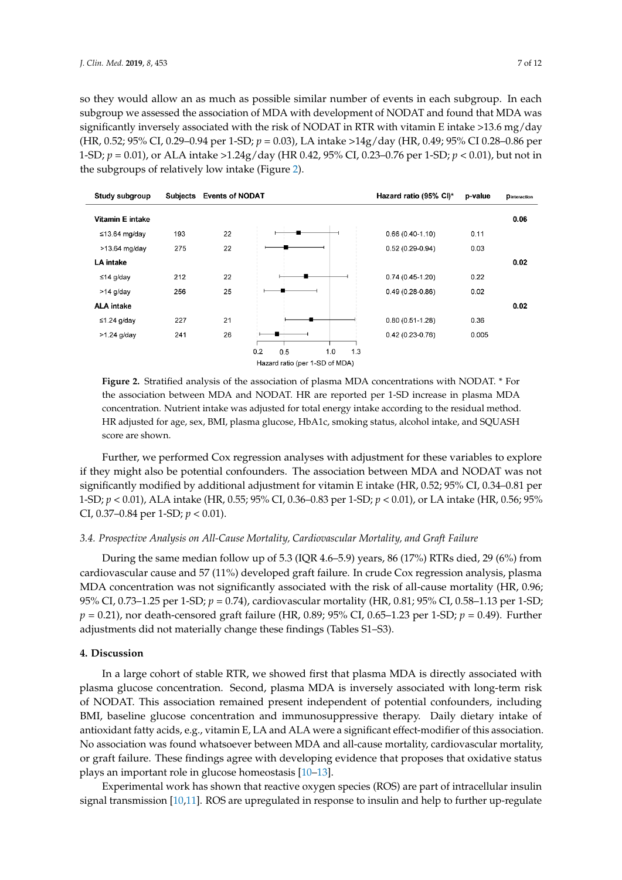so they would allow an as much as possible similar number of events in each subgroup. In each subgroup we assessed the association of MDA with development of NODAT and found that MDA was significantly inversely associated with the risk of NODAT in RTR with vitamin E intake >13.6 mg/day (HR, 0.52; 95% CI, 0.29-0.94 per 1-SD;  $p = 0.03$ ), LA intake >14g/day (HR, 0.49; 95% CI 0.28-0.86 per 1-SD; *p* = 0.01), or ALA intake >1.24g/day (HR 0.42, 95% CI, 0.23–0.76 per 1-SD; *p* < 0.01), but not in the subgroups of relatively low intake (Figure [2\)](#page-6-0).

<span id="page-6-0"></span>

HR adjusted for age, sex, BMI, plasma glucose, HbA1c, smoking status, alcohol intake, and SQUASH  $\alpha$ ssome and obeym **Figure 2.** Stratified analysis of the association of plasma MDA concentrations with NODAT. \* For the association between MDA and NODAT. HR are reported per 1-SD increase in plasma MDA concentration. Nutrient intake was adjusted for total energy intake according to the residual method. score are shown.

Further, we performed Cox regression analyses with adjustment for these variables to explore if they might also be potential confounders. The association between MDA and NODAT was not 1-SD;  $p < 0.01$ ), ALA intake (HR, 0.55; 95% CI, 0.36–0.83 per 1-SD;  $p < 0.01$ ), or LA intake (HR, 0.56; 95% CI, 0.37–0.84 per 1-SD;  $p < 0.01$ ). significantly modified by additional adjustment for vitamin E intake (HR, 0.52; 95% CI, 0.34–0.81 per

### 3.4. Prospective Analysis on All-Cause Mortality, Cardiovascular Mortality, and Graft Failure

During the same median follow up of 5.3 (IQR 4.6–5.9) years, 86 (17%) RTRs died, 29 (6%) from *3.4. Prospective Analysis on All-Cause Mortality, Cardiovascular Mortality, and Graft Failure*  MDA concentration was not significantly associated with the risk of all-cause mortality (HR, 0.96; 95% CI, 0.73–1.25 per 1-SD; *p* = 0.74), cardiovascular mortality (HR, 0.81; 95% CI, 0.58–1.13 per 1-SD; *p* = 0.21), nor death-censored graft failure (HR, 0.89; 95% CI, 0.65–1.23 per 1-SD; *p* = 0.49). Further adjustments did not materially change these findings (Tables S1–S3). cardiovascular cause and 57 (11%) developed graft failure. In crude Cox regression analysis, plasma

#### *p*  $\alpha$ ,  $D$ **iscussion 4. Discussion**

In a large cohort of stable RTR, we showed first that plasma MDA is directly associated with of NODAT. This association remained present independent of potential confounders, including BMI, baseline glucose concentration and immunosuppressive therapy. Daily dietary intake of antioxidant fatty acids, e.g., vitamin E, LA and ALA were a significant effect-modifier of this association. No association was found whatsoever between MDA and all-cause mortality, cardiovascular mortality, or graft failure. These findings agree with developing evidence that proposes that oxidative status plays an important role in glucose homeostasis  $[10-13]$  $[10-13]$ . plasma glucose concentration. Second, plasma MDA is inversely associated with long-term risk

Experimental work has shown that reactive oxygen species (ROS) are part of intracellular insulin signal transmission [\[10,](#page-9-9)[11\]](#page-9-17). ROS are upregulated in response to insulin and help to further up-regulate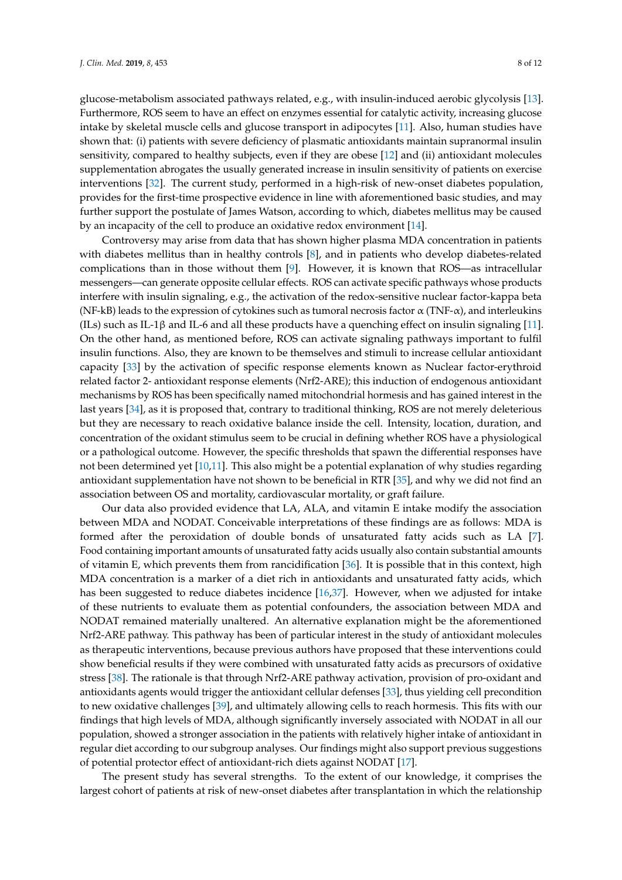glucose-metabolism associated pathways related, e.g., with insulin-induced aerobic glycolysis [\[13\]](#page-9-10). Furthermore, ROS seem to have an effect on enzymes essential for catalytic activity, increasing glucose intake by skeletal muscle cells and glucose transport in adipocytes [\[11\]](#page-9-17). Also, human studies have shown that: (i) patients with severe deficiency of plasmatic antioxidants maintain supranormal insulin sensitivity, compared to healthy subjects, even if they are obese [\[12\]](#page-9-18) and (ii) antioxidant molecules supplementation abrogates the usually generated increase in insulin sensitivity of patients on exercise interventions [\[32\]](#page-10-12). The current study, performed in a high-risk of new-onset diabetes population, provides for the first-time prospective evidence in line with aforementioned basic studies, and may further support the postulate of James Watson, according to which, diabetes mellitus may be caused by an incapacity of the cell to produce an oxidative redox environment [\[14\]](#page-9-11).

Controversy may arise from data that has shown higher plasma MDA concentration in patients with diabetes mellitus than in healthy controls [\[8\]](#page-9-7), and in patients who develop diabetes-related complications than in those without them [\[9\]](#page-9-8). However, it is known that ROS—as intracellular messengers—can generate opposite cellular effects. ROS can activate specific pathways whose products interfere with insulin signaling, e.g., the activation of the redox-sensitive nuclear factor-kappa beta (NF-kB) leads to the expression of cytokines such as tumoral necrosis factor  $\alpha$  (TNF- $\alpha$ ), and interleukins (ILs) such as IL-1β and IL-6 and all these products have a quenching effect on insulin signaling [\[11\]](#page-9-17). On the other hand, as mentioned before, ROS can activate signaling pathways important to fulfil insulin functions. Also, they are known to be themselves and stimuli to increase cellular antioxidant capacity [\[33\]](#page-10-13) by the activation of specific response elements known as Nuclear factor-erythroid related factor 2- antioxidant response elements (Nrf2-ARE); this induction of endogenous antioxidant mechanisms by ROS has been specifically named mitochondrial hormesis and has gained interest in the last years [\[34\]](#page-10-14), as it is proposed that, contrary to traditional thinking, ROS are not merely deleterious but they are necessary to reach oxidative balance inside the cell. Intensity, location, duration, and concentration of the oxidant stimulus seem to be crucial in defining whether ROS have a physiological or a pathological outcome. However, the specific thresholds that spawn the differential responses have not been determined yet [\[10](#page-9-9)[,11\]](#page-9-17). This also might be a potential explanation of why studies regarding antioxidant supplementation have not shown to be beneficial in RTR [\[35\]](#page-10-15), and why we did not find an association between OS and mortality, cardiovascular mortality, or graft failure.

Our data also provided evidence that LA, ALA, and vitamin E intake modify the association between MDA and NODAT. Conceivable interpretations of these findings are as follows: MDA is formed after the peroxidation of double bonds of unsaturated fatty acids such as LA [\[7\]](#page-9-6). Food containing important amounts of unsaturated fatty acids usually also contain substantial amounts of vitamin E, which prevents them from rancidification [\[36\]](#page-10-16). It is possible that in this context, high MDA concentration is a marker of a diet rich in antioxidants and unsaturated fatty acids, which has been suggested to reduce diabetes incidence [\[16,](#page-9-13)[37\]](#page-10-17). However, when we adjusted for intake of these nutrients to evaluate them as potential confounders, the association between MDA and NODAT remained materially unaltered. An alternative explanation might be the aforementioned Nrf2-ARE pathway. This pathway has been of particular interest in the study of antioxidant molecules as therapeutic interventions, because previous authors have proposed that these interventions could show beneficial results if they were combined with unsaturated fatty acids as precursors of oxidative stress [\[38\]](#page-10-18). The rationale is that through Nrf2-ARE pathway activation, provision of pro-oxidant and antioxidants agents would trigger the antioxidant cellular defenses [\[33\]](#page-10-13), thus yielding cell precondition to new oxidative challenges [\[39\]](#page-10-19), and ultimately allowing cells to reach hormesis. This fits with our findings that high levels of MDA, although significantly inversely associated with NODAT in all our population, showed a stronger association in the patients with relatively higher intake of antioxidant in regular diet according to our subgroup analyses. Our findings might also support previous suggestions of potential protector effect of antioxidant-rich diets against NODAT [\[17\]](#page-9-14).

The present study has several strengths. To the extent of our knowledge, it comprises the largest cohort of patients at risk of new-onset diabetes after transplantation in which the relationship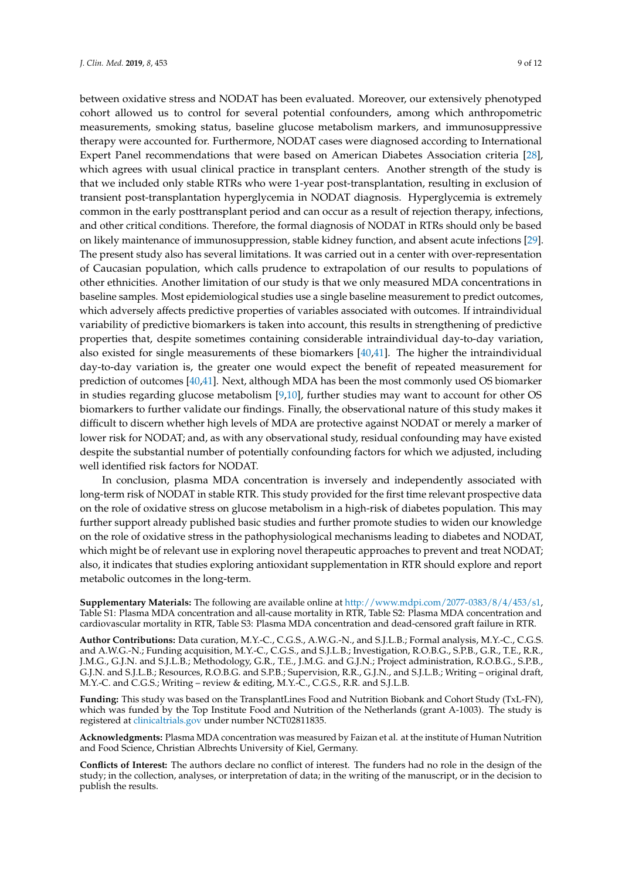between oxidative stress and NODAT has been evaluated. Moreover, our extensively phenotyped cohort allowed us to control for several potential confounders, among which anthropometric measurements, smoking status, baseline glucose metabolism markers, and immunosuppressive therapy were accounted for. Furthermore, NODAT cases were diagnosed according to International Expert Panel recommendations that were based on American Diabetes Association criteria [\[28\]](#page-10-8), which agrees with usual clinical practice in transplant centers. Another strength of the study is that we included only stable RTRs who were 1-year post-transplantation, resulting in exclusion of transient post-transplantation hyperglycemia in NODAT diagnosis. Hyperglycemia is extremely common in the early posttransplant period and can occur as a result of rejection therapy, infections, and other critical conditions. Therefore, the formal diagnosis of NODAT in RTRs should only be based on likely maintenance of immunosuppression, stable kidney function, and absent acute infections [\[29\]](#page-10-9). The present study also has several limitations. It was carried out in a center with over-representation of Caucasian population, which calls prudence to extrapolation of our results to populations of other ethnicities. Another limitation of our study is that we only measured MDA concentrations in baseline samples. Most epidemiological studies use a single baseline measurement to predict outcomes, which adversely affects predictive properties of variables associated with outcomes. If intraindividual variability of predictive biomarkers is taken into account, this results in strengthening of predictive properties that, despite sometimes containing considerable intraindividual day-to-day variation, also existed for single measurements of these biomarkers [\[40](#page-11-0)[,41\]](#page-11-1). The higher the intraindividual day-to-day variation is, the greater one would expect the benefit of repeated measurement for prediction of outcomes [\[40](#page-11-0)[,41\]](#page-11-1). Next, although MDA has been the most commonly used OS biomarker in studies regarding glucose metabolism [\[9,](#page-9-8)[10\]](#page-9-9), further studies may want to account for other OS biomarkers to further validate our findings. Finally, the observational nature of this study makes it difficult to discern whether high levels of MDA are protective against NODAT or merely a marker of lower risk for NODAT; and, as with any observational study, residual confounding may have existed despite the substantial number of potentially confounding factors for which we adjusted, including well identified risk factors for NODAT.

In conclusion, plasma MDA concentration is inversely and independently associated with long-term risk of NODAT in stable RTR. This study provided for the first time relevant prospective data on the role of oxidative stress on glucose metabolism in a high-risk of diabetes population. This may further support already published basic studies and further promote studies to widen our knowledge on the role of oxidative stress in the pathophysiological mechanisms leading to diabetes and NODAT, which might be of relevant use in exploring novel therapeutic approaches to prevent and treat NODAT; also, it indicates that studies exploring antioxidant supplementation in RTR should explore and report metabolic outcomes in the long-term.

**Supplementary Materials:** The following are available online at [http://www.mdpi.com/2077-0383/8/4/453/s1,](http://www.mdpi.com/2077-0383/8/4/453/s1) Table S1: Plasma MDA concentration and all-cause mortality in RTR, Table S2: Plasma MDA concentration and cardiovascular mortality in RTR, Table S3: Plasma MDA concentration and dead-censored graft failure in RTR.

**Author Contributions:** Data curation, M.Y.-C., C.G.S., A.W.G.-N., and S.J.L.B.; Formal analysis, M.Y.-C., C.G.S. and A.W.G.-N.; Funding acquisition, M.Y.-C., C.G.S., and S.J.L.B.; Investigation, R.O.B.G., S.P.B., G.R., T.E., R.R., J.M.G., G.J.N. and S.J.L.B.; Methodology, G.R., T.E., J.M.G. and G.J.N.; Project administration, R.O.B.G., S.P.B., G.J.N. and S.J.L.B.; Resources, R.O.B.G. and S.P.B.; Supervision, R.R., G.J.N., and S.J.L.B.; Writing – original draft, M.Y.-C. and C.G.S.; Writing – review & editing, M.Y.-C., C.G.S., R.R. and S.J.L.B.

**Funding:** This study was based on the TransplantLines Food and Nutrition Biobank and Cohort Study (TxL-FN), which was funded by the Top Institute Food and Nutrition of the Netherlands (grant A-1003). The study is registered at <clinicaltrials.gov> under number NCT02811835.

**Acknowledgments:** Plasma MDA concentration was measured by Faizan et al. at the institute of Human Nutrition and Food Science, Christian Albrechts University of Kiel, Germany.

**Conflicts of Interest:** The authors declare no conflict of interest. The funders had no role in the design of the study; in the collection, analyses, or interpretation of data; in the writing of the manuscript, or in the decision to publish the results.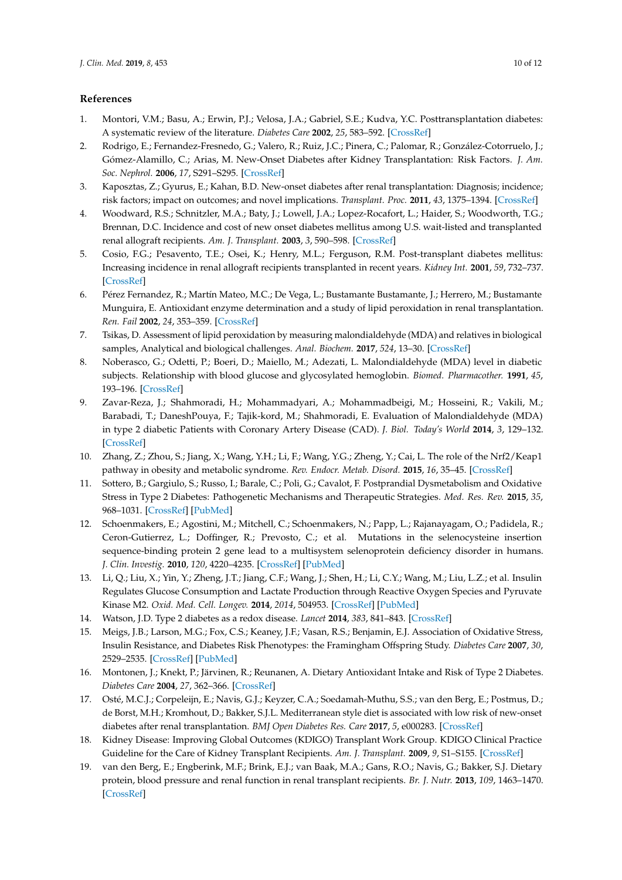### **References**

- <span id="page-9-0"></span>1. Montori, V.M.; Basu, A.; Erwin, P.J.; Velosa, J.A.; Gabriel, S.E.; Kudva, Y.C. Posttransplantation diabetes: A systematic review of the literature. *Diabetes Care* **2002**, *25*, 583–592. [\[CrossRef\]](http://dx.doi.org/10.2337/diacare.25.3.583)
- <span id="page-9-1"></span>2. Rodrigo, E.; Fernandez-Fresnedo, G.; Valero, R.; Ruiz, J.C.; Pinera, C.; Palomar, R.; González-Cotorruelo, J.; Gómez-Alamillo, C.; Arias, M. New-Onset Diabetes after Kidney Transplantation: Risk Factors. *J. Am. Soc. Nephrol.* **2006**, *17*, S291–S295. [\[CrossRef\]](http://dx.doi.org/10.1681/ASN.2006080929)
- <span id="page-9-2"></span>3. Kaposztas, Z.; Gyurus, E.; Kahan, B.D. New-onset diabetes after renal transplantation: Diagnosis; incidence; risk factors; impact on outcomes; and novel implications. *Transplant. Proc.* **2011**, *43*, 1375–1394. [\[CrossRef\]](http://dx.doi.org/10.1016/j.transproceed.2011.04.008)
- <span id="page-9-3"></span>4. Woodward, R.S.; Schnitzler, M.A.; Baty, J.; Lowell, J.A.; Lopez-Rocafort, L.; Haider, S.; Woodworth, T.G.; Brennan, D.C. Incidence and cost of new onset diabetes mellitus among U.S. wait-listed and transplanted renal allograft recipients. *Am. J. Transplant.* **2003**, *3*, 590–598. [\[CrossRef\]](http://dx.doi.org/10.1034/j.1600-6143.2003.00082.x)
- <span id="page-9-4"></span>5. Cosio, F.G.; Pesavento, T.E.; Osei, K.; Henry, M.L.; Ferguson, R.M. Post-transplant diabetes mellitus: Increasing incidence in renal allograft recipients transplanted in recent years. *Kidney Int.* **2001**, *59*, 732–737. [\[CrossRef\]](http://dx.doi.org/10.1046/j.1523-1755.2001.059002732.x)
- <span id="page-9-5"></span>6. Pérez Fernandez, R.; Martín Mateo, M.C.; De Vega, L.; Bustamante Bustamante, J.; Herrero, M.; Bustamante Munguira, E. Antioxidant enzyme determination and a study of lipid peroxidation in renal transplantation. *Ren. Fail* **2002**, *24*, 353–359. [\[CrossRef\]](http://dx.doi.org/10.1081/JDI-120005369)
- <span id="page-9-6"></span>7. Tsikas, D. Assessment of lipid peroxidation by measuring malondialdehyde (MDA) and relatives in biological samples, Analytical and biological challenges. *Anal. Biochem.* **2017**, *524*, 13–30. [\[CrossRef\]](http://dx.doi.org/10.1016/j.ab.2016.10.021)
- <span id="page-9-7"></span>8. Noberasco, G.; Odetti, P.; Boeri, D.; Maiello, M.; Adezati, L. Malondialdehyde (MDA) level in diabetic subjects. Relationship with blood glucose and glycosylated hemoglobin. *Biomed. Pharmacother.* **1991**, *45*, 193–196. [\[CrossRef\]](http://dx.doi.org/10.1016/0753-3322(91)90107-5)
- <span id="page-9-8"></span>9. Zavar-Reza, J.; Shahmoradi, H.; Mohammadyari, A.; Mohammadbeigi, M.; Hosseini, R.; Vakili, M.; Barabadi, T.; DaneshPouya, F.; Tajik-kord, M.; Shahmoradi, E. Evaluation of Malondialdehyde (MDA) in type 2 diabetic Patients with Coronary Artery Disease (CAD). *J. Biol. Today's World* **2014**, *3*, 129–132. [\[CrossRef\]](http://dx.doi.org/10.15412/J.JBTW.01030602)
- <span id="page-9-9"></span>10. Zhang, Z.; Zhou, S.; Jiang, X.; Wang, Y.H.; Li, F.; Wang, Y.G.; Zheng, Y.; Cai, L. The role of the Nrf2/Keap1 pathway in obesity and metabolic syndrome. *Rev. Endocr. Metab. Disord.* **2015**, *16*, 35–45. [\[CrossRef\]](http://dx.doi.org/10.1007/s11154-014-9305-9)
- <span id="page-9-17"></span>11. Sottero, B.; Gargiulo, S.; Russo, I.; Barale, C.; Poli, G.; Cavalot, F. Postprandial Dysmetabolism and Oxidative Stress in Type 2 Diabetes: Pathogenetic Mechanisms and Therapeutic Strategies. *Med. Res. Rev.* **2015**, *35*, 968–1031. [\[CrossRef\]](http://dx.doi.org/10.1002/med.21349) [\[PubMed\]](http://www.ncbi.nlm.nih.gov/pubmed/25943420)
- <span id="page-9-18"></span>12. Schoenmakers, E.; Agostini, M.; Mitchell, C.; Schoenmakers, N.; Papp, L.; Rajanayagam, O.; Padidela, R.; Ceron-Gutierrez, L.; Doffinger, R.; Prevosto, C.; et al. Mutations in the selenocysteine insertion sequence-binding protein 2 gene lead to a multisystem selenoprotein deficiency disorder in humans. *J. Clin. Investig.* **2010**, *120*, 4220–4235. [\[CrossRef\]](http://dx.doi.org/10.1172/JCI43653) [\[PubMed\]](http://www.ncbi.nlm.nih.gov/pubmed/21084748)
- <span id="page-9-10"></span>13. Li, Q.; Liu, X.; Yin, Y.; Zheng, J.T.; Jiang, C.F.; Wang, J.; Shen, H.; Li, C.Y.; Wang, M.; Liu, L.Z.; et al. Insulin Regulates Glucose Consumption and Lactate Production through Reactive Oxygen Species and Pyruvate Kinase M2. *Oxid. Med. Cell. Longev.* **2014**, *2014*, 504953. [\[CrossRef\]](http://dx.doi.org/10.1155/2014/504953) [\[PubMed\]](http://www.ncbi.nlm.nih.gov/pubmed/24895527)
- <span id="page-9-11"></span>14. Watson, J.D. Type 2 diabetes as a redox disease. *Lancet* **2014**, *383*, 841–843. [\[CrossRef\]](http://dx.doi.org/10.1016/S0140-6736(13)62365-X)
- <span id="page-9-12"></span>15. Meigs, J.B.; Larson, M.G.; Fox, C.S.; Keaney, J.F.; Vasan, R.S.; Benjamin, E.J. Association of Oxidative Stress, Insulin Resistance, and Diabetes Risk Phenotypes: the Framingham Offspring Study. *Diabetes Care* **2007**, *30*, 2529–2535. [\[CrossRef\]](http://dx.doi.org/10.2337/dc07-0817) [\[PubMed\]](http://www.ncbi.nlm.nih.gov/pubmed/17586736)
- <span id="page-9-13"></span>16. Montonen, J.; Knekt, P.; Järvinen, R.; Reunanen, A. Dietary Antioxidant Intake and Risk of Type 2 Diabetes. *Diabetes Care* **2004**, *27*, 362–366. [\[CrossRef\]](http://dx.doi.org/10.2337/diacare.27.2.362)
- <span id="page-9-14"></span>17. Osté, M.C.J.; Corpeleijn, E.; Navis, G.J.; Keyzer, C.A.; Soedamah-Muthu, S.S.; van den Berg, E.; Postmus, D.; de Borst, M.H.; Kromhout, D.; Bakker, S.J.L. Mediterranean style diet is associated with low risk of new-onset diabetes after renal transplantation. *BMJ Open Diabetes Res. Care* **2017**, *5*, e000283. [\[CrossRef\]](http://dx.doi.org/10.1136/bmjdrc-2016-000283)
- <span id="page-9-15"></span>18. Kidney Disease: Improving Global Outcomes (KDIGO) Transplant Work Group. KDIGO Clinical Practice Guideline for the Care of Kidney Transplant Recipients. *Am. J. Transplant.* **2009**, *9*, S1–S155. [\[CrossRef\]](http://dx.doi.org/10.1111/j.1600-6143.2009.02834.x)
- <span id="page-9-16"></span>19. van den Berg, E.; Engberink, M.F.; Brink, E.J.; van Baak, M.A.; Gans, R.O.; Navis, G.; Bakker, S.J. Dietary protein, blood pressure and renal function in renal transplant recipients. *Br. J. Nutr.* **2013**, *109*, 1463–1470. [\[CrossRef\]](http://dx.doi.org/10.1017/S0007114512003455)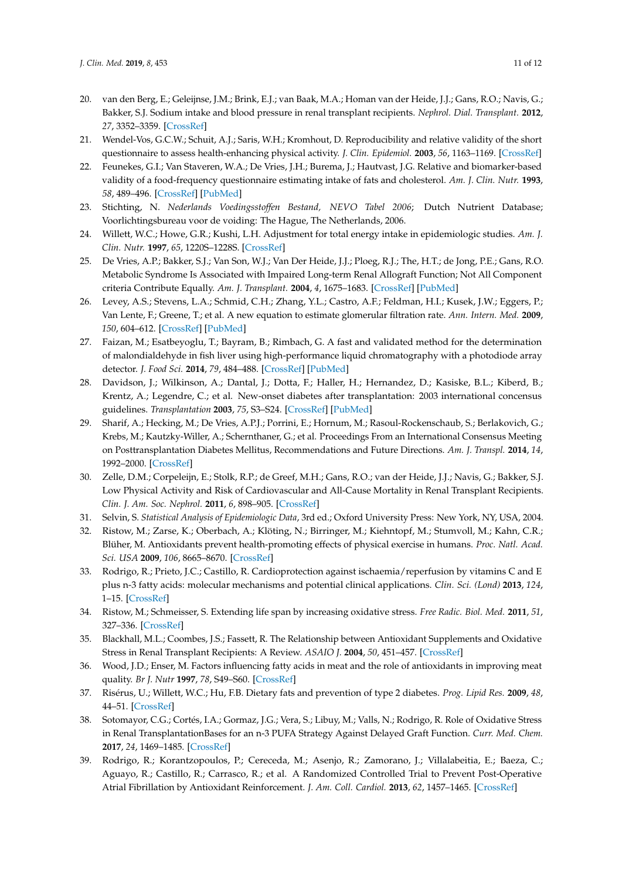- <span id="page-10-0"></span>20. van den Berg, E.; Geleijnse, J.M.; Brink, E.J.; van Baak, M.A.; Homan van der Heide, J.J.; Gans, R.O.; Navis, G.; Bakker, S.J. Sodium intake and blood pressure in renal transplant recipients. *Nephrol. Dial. Transplant.* **2012**, *27*, 3352–3359. [\[CrossRef\]](http://dx.doi.org/10.1093/ndt/gfs069)
- <span id="page-10-1"></span>21. Wendel-Vos, G.C.W.; Schuit, A.J.; Saris, W.H.; Kromhout, D. Reproducibility and relative validity of the short questionnaire to assess health-enhancing physical activity. *J. Clin. Epidemiol.* **2003**, *56*, 1163–1169. [\[CrossRef\]](http://dx.doi.org/10.1016/S0895-4356(03)00220-8)
- <span id="page-10-2"></span>22. Feunekes, G.I.; Van Staveren, W.A.; De Vries, J.H.; Burema, J.; Hautvast, J.G. Relative and biomarker-based validity of a food-frequency questionnaire estimating intake of fats and cholesterol. *Am. J. Clin. Nutr.* **1993**, *58*, 489–496. [\[CrossRef\]](http://dx.doi.org/10.1093/ajcn/58.4.489) [\[PubMed\]](http://www.ncbi.nlm.nih.gov/pubmed/8379504)
- <span id="page-10-3"></span>23. Stichting, N. *Nederlands Voedingsstoffen Bestand, NEVO Tabel 2006*; Dutch Nutrient Database; Voorlichtingsbureau voor de voiding: The Hague, The Netherlands, 2006.
- <span id="page-10-4"></span>24. Willett, W.C.; Howe, G.R.; Kushi, L.H. Adjustment for total energy intake in epidemiologic studies. *Am. J. Clin. Nutr.* **1997**, *65*, 1220S–1228S. [\[CrossRef\]](http://dx.doi.org/10.1093/ajcn/65.4.1220S)
- <span id="page-10-5"></span>25. De Vries, A.P.; Bakker, S.J.; Van Son, W.J.; Van Der Heide, J.J.; Ploeg, R.J.; The, H.T.; de Jong, P.E.; Gans, R.O. Metabolic Syndrome Is Associated with Impaired Long-term Renal Allograft Function; Not All Component criteria Contribute Equally. *Am. J. Transplant.* **2004**, *4*, 1675–1683. [\[CrossRef\]](http://dx.doi.org/10.1111/j.1600-6143.2004.00558.x) [\[PubMed\]](http://www.ncbi.nlm.nih.gov/pubmed/15367224)
- <span id="page-10-6"></span>26. Levey, A.S.; Stevens, L.A.; Schmid, C.H.; Zhang, Y.L.; Castro, A.F.; Feldman, H.I.; Kusek, J.W.; Eggers, P.; Van Lente, F.; Greene, T.; et al. A new equation to estimate glomerular filtration rate. *Ann. Intern. Med.* **2009**, *150*, 604–612. [\[CrossRef\]](http://dx.doi.org/10.7326/0003-4819-150-9-200905050-00006) [\[PubMed\]](http://www.ncbi.nlm.nih.gov/pubmed/19414839)
- <span id="page-10-7"></span>27. Faizan, M.; Esatbeyoglu, T.; Bayram, B.; Rimbach, G. A fast and validated method for the determination of malondialdehyde in fish liver using high-performance liquid chromatography with a photodiode array detector. *J. Food Sci.* **2014**, *79*, 484–488. [\[CrossRef\]](http://dx.doi.org/10.1111/1750-3841.12412) [\[PubMed\]](http://www.ncbi.nlm.nih.gov/pubmed/24621264)
- <span id="page-10-8"></span>28. Davidson, J.; Wilkinson, A.; Dantal, J.; Dotta, F.; Haller, H.; Hernandez, D.; Kasiske, B.L.; Kiberd, B.; Krentz, A.; Legendre, C.; et al. New-onset diabetes after transplantation: 2003 international concensus guidelines. *Transplantation* **2003**, *75*, S3–S24. [\[CrossRef\]](http://dx.doi.org/10.1097/01.TP.0000069952.49242.3E) [\[PubMed\]](http://www.ncbi.nlm.nih.gov/pubmed/12775942)
- <span id="page-10-9"></span>29. Sharif, A.; Hecking, M.; De Vries, A.P.J.; Porrini, E.; Hornum, M.; Rasoul-Rockenschaub, S.; Berlakovich, G.; Krebs, M.; Kautzky-Willer, A.; Schernthaner, G.; et al. Proceedings From an International Consensus Meeting on Posttransplantation Diabetes Mellitus, Recommendations and Future Directions. *Am. J. Transpl.* **2014**, *14*, 1992–2000. [\[CrossRef\]](http://dx.doi.org/10.1111/ajt.12850)
- <span id="page-10-10"></span>30. Zelle, D.M.; Corpeleijn, E.; Stolk, R.P.; de Greef, M.H.; Gans, R.O.; van der Heide, J.J.; Navis, G.; Bakker, S.J. Low Physical Activity and Risk of Cardiovascular and All-Cause Mortality in Renal Transplant Recipients. *Clin. J. Am. Soc. Nephrol.* **2011**, *6*, 898–905. [\[CrossRef\]](http://dx.doi.org/10.2215/CJN.03340410)
- <span id="page-10-11"></span>31. Selvin, S. *Statistical Analysis of Epidemiologic Data*, 3rd ed.; Oxford University Press: New York, NY, USA, 2004.
- <span id="page-10-12"></span>32. Ristow, M.; Zarse, K.; Oberbach, A.; Klöting, N.; Birringer, M.; Kiehntopf, M.; Stumvoll, M.; Kahn, C.R.; Blüher, M. Antioxidants prevent health-promoting effects of physical exercise in humans. *Proc. Natl. Acad. Sci. USA* **2009**, *106*, 8665–8670. [\[CrossRef\]](http://dx.doi.org/10.1073/pnas.0903485106)
- <span id="page-10-13"></span>33. Rodrigo, R.; Prieto, J.C.; Castillo, R. Cardioprotection against ischaemia/reperfusion by vitamins C and E plus n-3 fatty acids: molecular mechanisms and potential clinical applications. *Clin. Sci. (Lond)* **2013**, *124*, 1–15. [\[CrossRef\]](http://dx.doi.org/10.1042/CS20110663)
- <span id="page-10-14"></span>34. Ristow, M.; Schmeisser, S. Extending life span by increasing oxidative stress. *Free Radic. Biol. Med.* **2011**, *51*, 327–336. [\[CrossRef\]](http://dx.doi.org/10.1016/j.freeradbiomed.2011.05.010)
- <span id="page-10-15"></span>35. Blackhall, M.L.; Coombes, J.S.; Fassett, R. The Relationship between Antioxidant Supplements and Oxidative Stress in Renal Transplant Recipients: A Review. *ASAIO J.* **2004**, *50*, 451–457. [\[CrossRef\]](http://dx.doi.org/10.1097/01.MAT.0000138077.90404.C8)
- <span id="page-10-16"></span>36. Wood, J.D.; Enser, M. Factors influencing fatty acids in meat and the role of antioxidants in improving meat quality. *Br J. Nutr* **1997**, *78*, S49–S60. [\[CrossRef\]](http://dx.doi.org/10.1079/BJN19970134)
- <span id="page-10-17"></span>37. Risérus, U.; Willett, W.C.; Hu, F.B. Dietary fats and prevention of type 2 diabetes. *Prog. Lipid Res.* **2009**, *48*, 44–51. [\[CrossRef\]](http://dx.doi.org/10.1016/j.plipres.2008.10.002)
- <span id="page-10-18"></span>38. Sotomayor, C.G.; Cortés, I.A.; Gormaz, J.G.; Vera, S.; Libuy, M.; Valls, N.; Rodrigo, R. Role of Oxidative Stress in Renal TransplantationBases for an n-3 PUFA Strategy Against Delayed Graft Function. *Curr. Med. Chem.* **2017**, *24*, 1469–1485. [\[CrossRef\]](http://dx.doi.org/10.2174/0929867324666170227115435)
- <span id="page-10-19"></span>39. Rodrigo, R.; Korantzopoulos, P.; Cereceda, M.; Asenjo, R.; Zamorano, J.; Villalabeitia, E.; Baeza, C.; Aguayo, R.; Castillo, R.; Carrasco, R.; et al. A Randomized Controlled Trial to Prevent Post-Operative Atrial Fibrillation by Antioxidant Reinforcement. *J. Am. Coll. Cardiol.* **2013**, *62*, 1457–1465. [\[CrossRef\]](http://dx.doi.org/10.1016/j.jacc.2013.07.014)